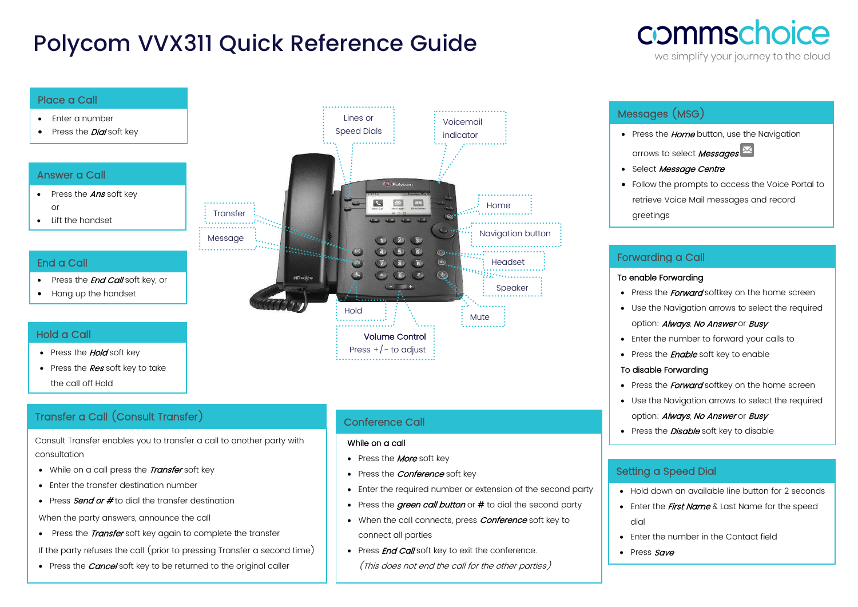# Polycom VVX311 Quick Reference Guide

#### Place a Call

- Enter a number
- Press the **Dial** soft key

## Answer a Call

- Press the **Ans** soft key or
- Lift the handset

## End a Call

- Press the *End Call* soft key, or
- Hang up the handset

## Hold a Call

•

- Press the **Hold** soft key
- Press the Res soft key to take the call off Hold

## Transfer a Call (Consult Transfer)

Consult Transfer enables you to transfer a call to another party with consultation

- While on a call press the Transfer soft key
- Enter the transfer destination number
- Press **Send or #** to dial the transfer destination

When the party answers, announce the call

• Press the *Transfer* soft key again to complete the transfer

If the party refuses the call (prior to pressing Transfer a second time)

• Press the **Cancel** soft key to be returned to the original caller

## Conference Call

#### While on a call

- Press the **More** soft key
- Press the *Conference* soft key
- Enter the required number or extension of the second party
- Press the *green call button* or # to dial the second party
- When the call connects, press *Conference* soft key to connect all parties
- Press *End Call* soft key to exit the conference. (This does not end the call for the other parties)

## Messages (MSG)

- Press the *Home* button, use the Navigation
	- arrows to select Messages
- Select Message Centre
- Follow the prompts to access the Voice Portal to retrieve Voice Mail messages and record greetings

## Forwarding a Call

#### To enable Forwarding

- Press the *Forward* softkey on the home screen
- Use the Navigation arrows to select the required option: **Always**, No Answer or Busy
- Enter the number to forward your calls to
- Press the **Enable** soft key to enable

## To disable Forwarding

- Press the *Forward* softkey on the home screen
- Use the Navigation arrows to select the required
	- option: Always, No Answer or Busy
- Press the *Disable* soft key to disable

## Setting a Speed Dial

- Hold down an available line button for 2 seconds
- Enter the *First Name* & Last Name for the speed dial
- Enter the number in the Contact field
- Press Save

•



# commschoice

we simplify your journey to the cloud